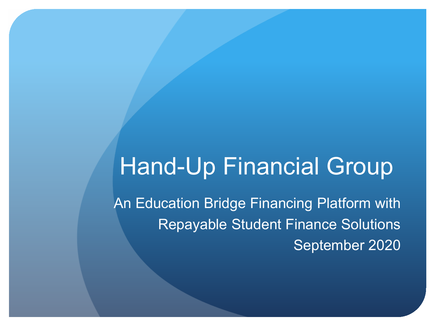# Hand-Up Financial Group

An Education Bridge Financing Platform with Repayable Student Finance Solutions September 2020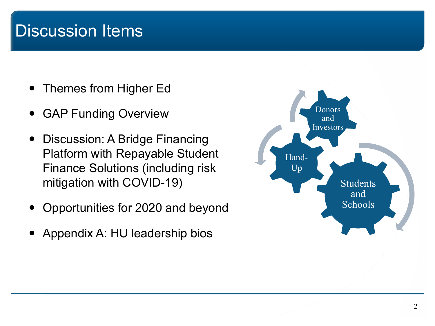### Discussion Items

- Themes from Higher Ed
- GAP Funding Overview
- Discussion: A Bridge Financing Platform with Repayable Student Finance Solutions (including risk mitigation with COVID-19)
- Opportunities for 2020 and beyond
- Appendix A: HU leadership bios

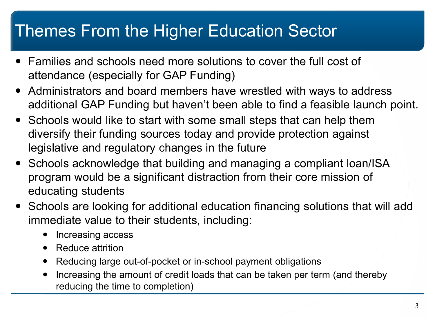### Themes From the Higher Education Sector

- Families and schools need more solutions to cover the full cost of attendance (especially for GAP Funding)
- Administrators and board members have wrestled with ways to address additional GAP Funding but haven't been able to find a feasible launch point.
- Schools would like to start with some small steps that can help them diversify their funding sources today and provide protection against legislative and regulatory changes in the future
- Schools acknowledge that building and managing a compliant loan/ISA program would be a significant distraction from their core mission of educating students
- Schools are looking for additional education financing solutions that will add immediate value to their students, including:
	- Increasing access
	- Reduce attrition
	- Reducing large out-of-pocket or in-school payment obligations
	- Increasing the amount of credit loads that can be taken per term (and thereby reducing the time to completion)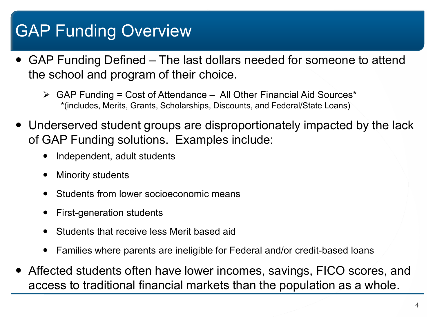# GAP Funding Overview

- GAP Funding Defined The last dollars needed for someone to attend the school and program of their choice.
	- $\triangleright$  GAP Funding = Cost of Attendance All Other Financial Aid Sources\* \*(includes, Merits, Grants, Scholarships, Discounts, and Federal/State Loans)
- Underserved student groups are disproportionately impacted by the lack of GAP Funding solutions. Examples include:
	- Independent, adult students
	- Minority students
	- Students from lower socioeconomic means
	- First-generation students
	- Students that receive less Merit based aid
	- Families where parents are ineligible for Federal and/or credit-based loans
- Affected students often have lower incomes, savings, FICO scores, and access to traditional financial markets than the population as a whole.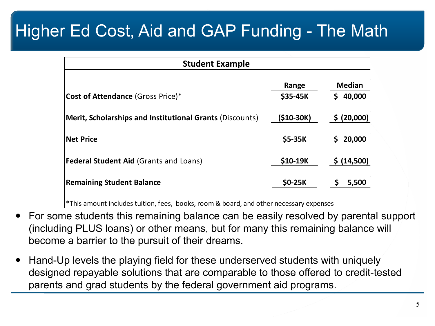# Higher Ed Cost, Aid and GAP Funding - The Math

| <b>Student Example</b>                                   |             |               |
|----------------------------------------------------------|-------------|---------------|
|                                                          | Range       | <b>Median</b> |
| <b>Cost of Attendance (Gross Price)*</b>                 | \$35-45K    | 40,000<br>Ś.  |
| Merit, Scholarships and Institutional Grants (Discounts) | $($10-30K)$ | \$ (20,000)   |
| <b>Net Price</b>                                         | \$5-35K     | 20,000<br>S   |
| <b>Federal Student Aid (Grants and Loans)</b>            | \$10-19K    | \$ (14,500)   |
| <b>Remaining Student Balance</b>                         | \$0-25K     | 5,500         |
|                                                          |             |               |

\*This amount includes tuition, fees, books, room & board, and other necessary expenses

- For some students this remaining balance can be easily resolved by parental support (including PLUS loans) or other means, but for many this remaining balance will become a barrier to the pursuit of their dreams.
- Hand-Up levels the playing field for these underserved students with uniquely designed repayable solutions that are comparable to those offered to credit-tested parents and grad students by the federal government aid programs.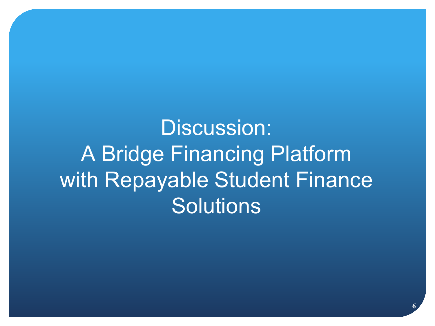Discussion: A Bridge Financing Platform with Repayable Student Finance **Solutions**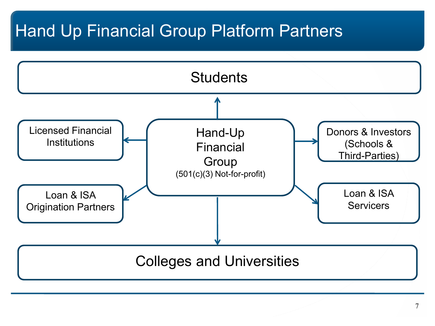## Hand Up Financial Group Platform Partners

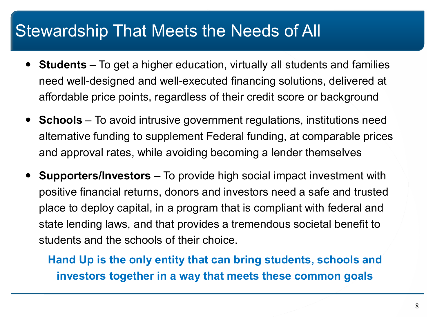### Stewardship That Meets the Needs of All

- **Students** To get a higher education, virtually all students and families need well-designed and well-executed financing solutions, delivered at affordable price points, regardless of their credit score or background
- **Schools** To avoid intrusive government regulations, institutions need alternative funding to supplement Federal funding, at comparable prices and approval rates, while avoiding becoming a lender themselves
- **Supporters/Investors** To provide high social impact investment with positive financial returns, donors and investors need a safe and trusted place to deploy capital, in a program that is compliant with federal and state lending laws, and that provides a tremendous societal benefit to students and the schools of their choice.

**Hand Up is the only entity that can bring students, schools and investors together in a way that meets these common goals**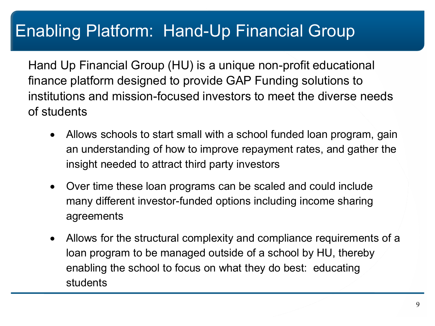# Enabling Platform: Hand-Up Financial Group

Hand Up Financial Group (HU) is a unique non-profit educational finance platform designed to provide GAP Funding solutions to institutions and mission-focused investors to meet the diverse needs of students

- Allows schools to start small with a school funded loan program, gain an understanding of how to improve repayment rates, and gather the insight needed to attract third party investors
- Over time these loan programs can be scaled and could include many different investor-funded options including income sharing agreements
- Allows for the structural complexity and compliance requirements of a loan program to be managed outside of a school by HU, thereby enabling the school to focus on what they do best: educating students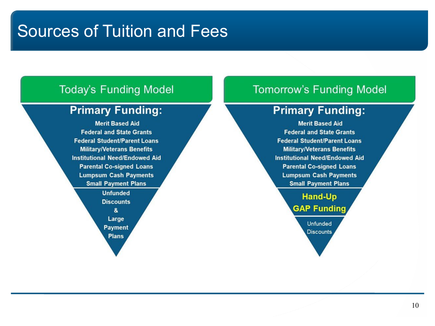### Sources of Tuition and Fees

#### **Today's Funding Model**

#### **Primary Funding:**

**Merit Based Aid Federal and State Grants Federal Student/Parent Loans Military/Veterans Benefits Institutional Need/Endowed Aid Parental Co-signed Loans Lumpsum Cash Payments Small Payment Plans** 

**Unfunded Discounts** & Large **Payment Plans** 

#### **Tomorrow's Funding Model**

#### **Primary Funding:**

**Merit Based Aid Federal and State Grants Federal Student/Parent Loans Military/Veterans Benefits Institutional Need/Endowed Aid Parental Co-signed Loans Lumpsum Cash Payments Small Payment Plans** 

> **Hand-Up GAP Funding Unfunded Discounts**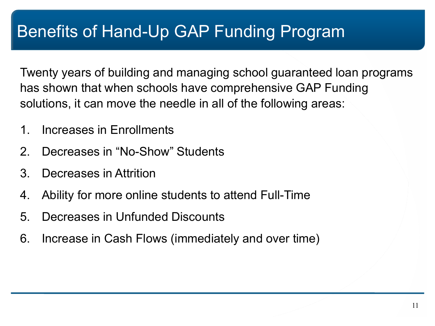Twenty years of building and managing school guaranteed loan programs has shown that when schools have comprehensive GAP Funding solutions, it can move the needle in all of the following areas:

- 1. Increases in Enrollments
- 2. Decreases in "No-Show" Students
- 3. Decreases in Attrition
- 4. Ability for more online students to attend Full-Time
- 5. Decreases in Unfunded Discounts
- 6. Increase in Cash Flows (immediately and over time)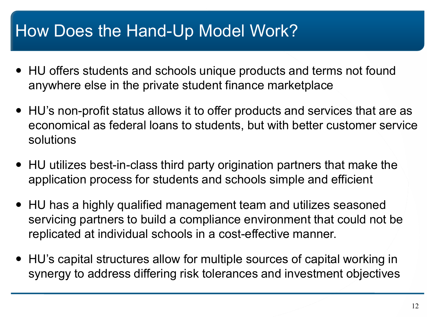### How Does the Hand-Up Model Work?

- HU offers students and schools unique products and terms not found anywhere else in the private student finance marketplace
- HU's non-profit status allows it to offer products and services that are as economical as federal loans to students, but with better customer service solutions
- HU utilizes best-in-class third party origination partners that make the application process for students and schools simple and efficient
- HU has a highly qualified management team and utilizes seasoned servicing partners to build a compliance environment that could not be replicated at individual schools in a cost-effective manner.
- HU's capital structures allow for multiple sources of capital working in synergy to address differing risk tolerances and investment objectives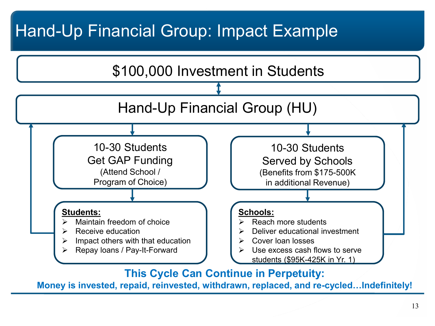## Hand-Up Financial Group: Impact Example



**This Cycle Can Continue in Perpetuity:** 

**Money is invested, repaid, reinvested, withdrawn, replaced, and re-cycled…Indefinitely!**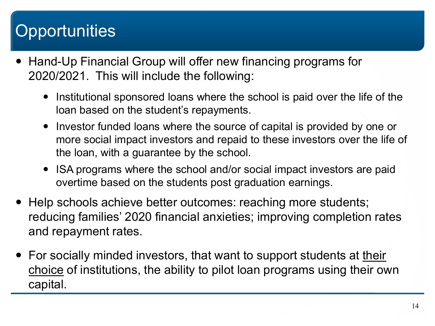# **Opportunities**

- Hand-Up Financial Group will offer new financing programs for 2020/2021. This will include the following:
	- Institutional sponsored loans where the school is paid over the life of the loan based on the student's repayments.
	- Investor funded loans where the source of capital is provided by one or more social impact investors and repaid to these investors over the life of the loan, with a guarantee by the school.
	- ISA programs where the school and/or social impact investors are paid overtime based on the students post graduation earnings.
- Help schools achieve better outcomes: reaching more students; reducing families' 2020 financial anxieties; improving completion rates and repayment rates.
- For socially minded investors, that want to support students at their choice of institutions, the ability to pilot loan programs using their own capital.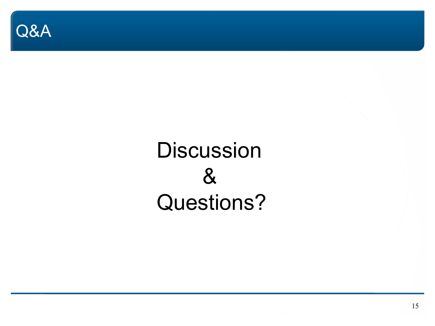

**Discussion** & Questions?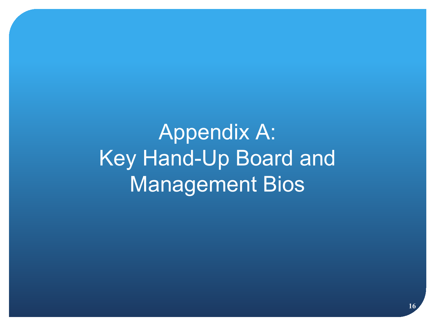Appendix A: Key Hand-Up Board and Management Bios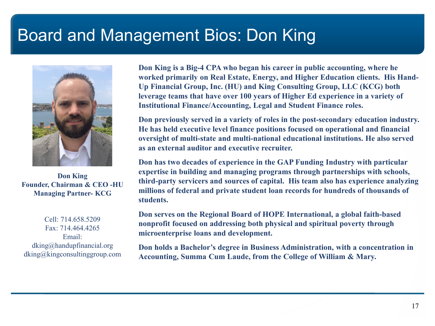### Board and Management Bios: Don King



**Don King Founder, Chairman & CEO -HU Managing Partner- KCG**

Cell: 714.658.5209 Fax: 714.464.4265 Email: dking@handupfinancial.org dking@kingconsultinggroup.com

**Don King is a Big-4 CPA who began his career in public accounting, where he worked primarily on Real Estate, Energy, and Higher Education clients. His Hand-Up Financial Group, Inc. (HU) and King Consulting Group, LLC (KCG) both leverage teams that have over 100 years of Higher Ed experience in a variety of Institutional Finance/Accounting, Legal and Student Finance roles.** 

**Don previously served in a variety of roles in the post-secondary education industry. He has held executive level finance positions focused on operational and financial oversight of multi-state and multi-national educational institutions. He also served as an external auditor and executive recruiter.** 

**Don has two decades of experience in the GAP Funding Industry with particular expertise in building and managing programs through partnerships with schools, third-party servicers and sources of capital. His team also has experience analyzing millions of federal and private student loan records for hundreds of thousands of students.**

**Don serves on the Regional Board of HOPE International, a global faith-based nonprofit focused on addressing both physical and spiritual poverty through microenterprise loans and development.**

**Don holds a Bachelor's degree in Business Administration, with a concentration in Accounting, Summa Cum Laude, from the College of William & Mary.**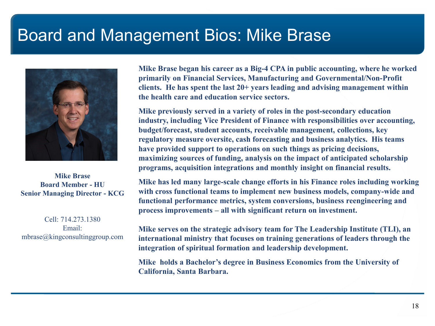### Board and Management Bios: Mike Brase



**Mike Brase Board Member - HU Senior Managing Director - KCG**

Cell: 714.273.1380 Email: mbrase@kingconsultinggroup.com **Mike Brase began his career as a Big-4 CPA in public accounting, where he worked primarily on Financial Services, Manufacturing and Governmental/Non-Profit clients. He has spent the last 20+ years leading and advising management within the health care and education service sectors.**

**Mike previously served in a variety of roles in the post-secondary education industry, including Vice President of Finance with responsibilities over accounting, budget/forecast, student accounts, receivable management, collections, key regulatory measure oversite, cash forecasting and business analytics. His teams have provided support to operations on such things as pricing decisions, maximizing sources of funding, analysis on the impact of anticipated scholarship programs, acquisition integrations and monthly insight on financial results.** 

**Mike has led many large-scale change efforts in his Finance roles including working with cross functional teams to implement new business models, company-wide and functional performance metrics, system conversions, business reengineering and process improvements – all with significant return on investment.**

**Mike serves on the strategic advisory team for The Leadership Institute (TLI), an international ministry that focuses on training generations of leaders through the integration of spiritual formation and leadership development.**

**Mike holds a Bachelor's degree in Business Economics from the University of California, Santa Barbara.**